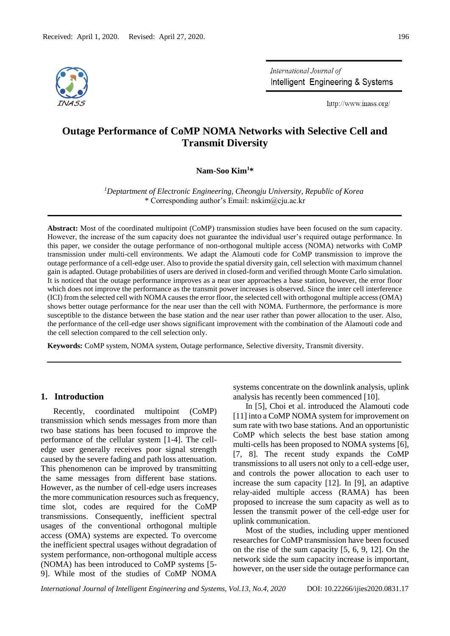

International Journal of Intelligent Engineering & Systems

http://www.inass.org/

# **Outage Performance of CoMP NOMA Networks with Selective Cell and Transmit Diversity**

**Nam-Soo Kim<sup>1</sup>\***

*<sup>1</sup>Deptartment of Electronic Engineering, Cheongju University, Republic of Korea* \* Corresponding author's Email: nskim@cju.ac.kr

**Abstract:** Most of the coordinated multipoint (CoMP) transmission studies have been focused on the sum capacity. However, the increase of the sum capacity does not guarantee the individual user's required outage performance. In this paper, we consider the outage performance of non-orthogonal multiple access (NOMA) networks with CoMP transmission under multi-cell environments. We adapt the Alamouti code for CoMP transmission to improve the outage performance of a cell-edge user. Also to provide the spatial diversity gain, cell selection with maximum channel gain is adapted. Outage probabilities of users are derived in closed-form and verified through Monte Carlo simulation. It is noticed that the outage performance improves as a near user approaches a base station, however, the error floor which does not improve the performance as the transmit power increases is observed. Since the inter cell interference (ICI) from the selected cell with NOMA causes the error floor, the selected cell with orthogonal multiple access (OMA) shows better outage performance for the near user than the cell with NOMA. Furthermore, the performance is more susceptible to the distance between the base station and the near user rather than power allocation to the user. Also, the performance of the cell-edge user shows significant improvement with the combination of the Alamouti code and the cell selection compared to the cell selection only.

**Keywords:** CoMP system, NOMA system, Outage performance, Selective diversity, Transmit diversity.

# **1. Introduction**

Recently, coordinated multipoint (CoMP) transmission which sends messages from more than two base stations has been focused to improve the performance of the cellular system [1-4]. The celledge user generally receives poor signal strength caused by the severe fading and path loss attenuation. This phenomenon can be improved by transmitting the same messages from different base stations. However, as the number of cell-edge users increases the more communication resources such as frequency, time slot, codes are required for the CoMP transmissions. Consequently, inefficient spectral usages of the conventional orthogonal multiple access (OMA) systems are expected. To overcome the inefficient spectral usages without degradation of system performance, non-orthogonal multiple access (NOMA) has been introduced to CoMP systems [5- 9]. While most of the studies of CoMP NOMA

systems concentrate on the downlink analysis, uplink analysis has recently been commenced [10].

In [5], Choi et al. introduced the Alamouti code [11] into a CoMP NOMA system for improvement on sum rate with two base stations. And an opportunistic CoMP which selects the best base station among multi-cells has been proposed to NOMA systems [6], [7, 8]. The recent study expands the CoMP transmissions to all users not only to a cell-edge user, and controls the power allocation to each user to increase the sum capacity [12]. In [9], an adaptive relay-aided multiple access (RAMA) has been proposed to increase the sum capacity as well as to lessen the transmit power of the cell-edge user for uplink communication.

Most of the studies, including upper mentioned researches for CoMP transmission have been focused on the rise of the sum capacity [5, 6, 9, 12]. On the network side the sum capacity increase is important, however, on the user side the outage performance can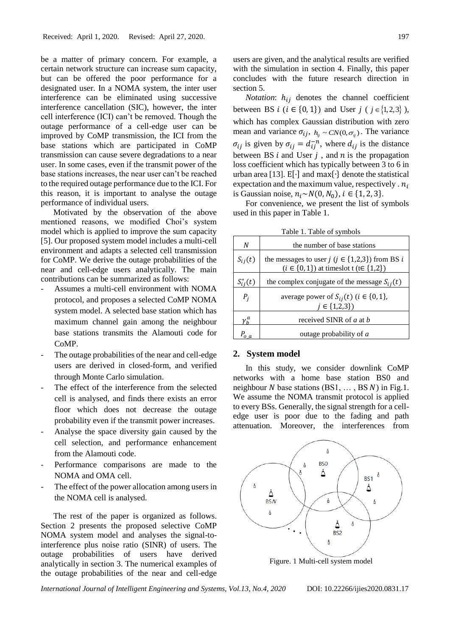be a matter of primary concern. For example, a certain network structure can increase sum capacity, but can be offered the poor performance for a designated user. In a NOMA system, the inter user interference can be eliminated using successive interference cancellation (SIC), however, the inter cell interference (ICI) can't be removed. Though the outage performance of a cell-edge user can be improved by CoMP transmission, the ICI from the base stations which are participated in CoMP transmission can cause severe degradations to a near user. In some cases, even if the transmit power of the base stations increases, the near user can't be reached to the required outage performance due to the ICI. For this reason, it is important to analyse the outage performance of individual users.

Motivated by the observation of the above mentioned reasons, we modified Choi's system model which is applied to improve the sum capacity [5]. Our proposed system model includes a multi-cell environment and adapts a selected cell transmission for CoMP. We derive the outage probabilities of the near and cell-edge users analytically. The main contributions can be summarized as follows:

- Assumes a multi-cell environment with NOMA protocol, and proposes a selected CoMP NOMA system model. A selected base station which has maximum channel gain among the neighbour base stations transmits the Alamouti code for CoMP.
- The outage probabilities of the near and cell-edge users are derived in closed-form, and verified through Monte Carlo simulation.
- The effect of the interference from the selected cell is analysed, and finds there exists an error floor which does not decrease the outage probability even if the transmit power increases.
- Analyse the space diversity gain caused by the cell selection, and performance enhancement from the Alamouti code.
- Performance comparisons are made to the NOMA and OMA cell.
- The effect of the power allocation among users in the NOMA cell is analysed.

The rest of the paper is organized as follows. Section 2 presents the proposed selective CoMP NOMA system model and analyses the signal-tointerference plus noise ratio (SINR) of users. The outage probabilities of users have derived analytically in section 3. The numerical examples of the outage probabilities of the near and cell-edge users are given, and the analytical results are verified with the simulation in section 4. Finally, this paper concludes with the future research direction in section 5.

*Notation*:  $h_{ij}$  denotes the channel coefficient between BS *i* (*i*  $\in$  {0, 1}) and User *j* (*j*  $\in$  {1,2,3}), which has complex Gaussian distribution with zero mean and variance  $\sigma_{ij}$ ,  $h_{ij} \sim CN(0, \sigma_{ij})$ . The variance  $\sigma_{ij}$  is given by  $\sigma_{ij} = d_{ij}^{-n}$ , where  $d_{ij}$  is the distance between BS  $i$  and User  $j$ , and  $n$  is the propagation loss coefficient which has typically between 3 to 6 in urban area [13]. E[·] and max{∙} denote the statistical expectation and the maximum value, respectively .  $n_i$ is Gaussian noise,  $n_i \sim N(0, N_0)$ ,  $i \in \{1, 2, 3\}$ .

For convenience, we present the list of symbols used in this paper in Table 1.

Table 1. Table of symbols

| N             | the number of base stations                                                                                    |
|---------------|----------------------------------------------------------------------------------------------------------------|
| $S_{ij}(t)$   | the messages to user $j$ ( $j \in \{1,2,3\}$ ) from BS i<br>$(i \in \{0, 1\})$ at times lot t (te $\{1, 2\}$ ) |
| $S_{ij}^*(t)$ | the complex conjugate of the message $S_{ii}(t)$                                                               |
| $P_i$         | average power of $S_{ij}(t)$ ( $i \in \{0, 1\}$ ,<br>$j \in \{1,2,3\}$                                         |
| $\gamma_h^a$  | received SINR of <i>a</i> at <i>b</i>                                                                          |
|               | outage probability of a                                                                                        |

## **2. System model**

In this study, we consider downlink CoMP networks with a home base station BS0 and neighbour N base stations  $(BS1, \ldots, BSN)$  in Fig.1. We assume the NOMA transmit protocol is applied to every BSs. Generally, the signal strength for a celledge user is poor due to the fading and path attenuation. Moreover, the interferences from



Figure. 1 Multi-cell system model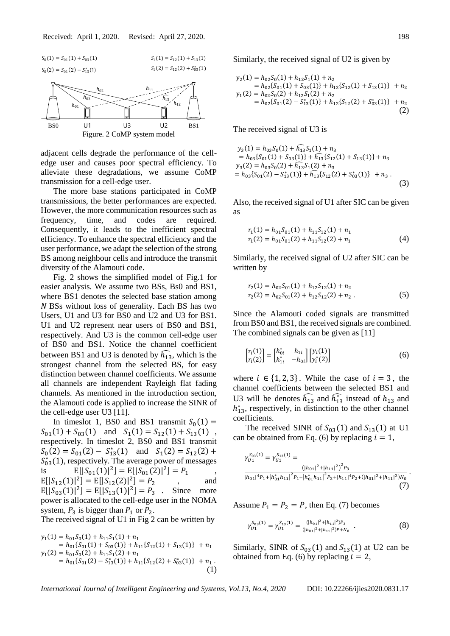

adjacent cells degrade the performance of the celledge user and causes poor spectral efficiency. To alleviate these degradations, we assume CoMP transmission for a cell-edge user.

The more base stations participated in CoMP transmissions, the better performances are expected. However, the more communication resources such as frequency, time, and codes are required. Consequently, it leads to the inefficient spectral efficiency. To enhance the spectral efficiency and the user performance, we adapt the selection of the strong BS among neighbour cells and introduce the transmit diversity of the Alamouti code.

Fig. 2 shows the simplified model of Fig.1 for easier analysis. We assume two BSs, Bs0 and BS1, where BS1 denotes the selected base station among N BSs without loss of generality. Each BS has two Users, U1 and U3 for BS0 and U2 and U3 for BS1. U1 and U2 represent near users of BS0 and BS1, respectively. And U3 is the common cell-edge user of BS0 and BS1. Notice the channel coefficient between BS1 and U3 is denoted by  $\widehat{h_{13}}$ , which is the strongest channel from the selected BS, for easy distinction between channel coefficients. We assume all channels are independent Rayleigh flat fading channels. As mentioned in the introduction section, the Alamouti code is applied to increase the SINR of the cell-edge user U3 [11].

In timeslot 1, BS0 and BS1 transmit  $S_0(1) =$  $S_{01}(1) + S_{03}(1)$  and  $S_1(1) = S_{12}(1) + S_{13}(1)$ , respectively. In timeslot 2, BS0 and BS1 transmit  $S_0(2) = S_{01}(2) - S_{13}(1)$  and  $S_1(2) = S_{12}(2) +$  $S_{03}^*(1)$ , respectively. The average power of messages is  $E[|S_{01}(1)|^2] = E[|S_{01}(2)|^2] = P_1$ ,  $E[|S_{12}(1)|^2] = E[|S_{12}(2)|^2] = P_2$ , and  $E[|S_{03}(1)|^2] = E[|S_{13}(1)|^2] = P_3$ . Since more power is allocated to the cell-edge user in the NOMA system,  $P_3$  is bigger than  $P_1$  or  $P_2$ .

The received signal of U1 in Fig 2 can be written by

$$
y_1(1) = h_{01}S_0(1) + h_{11}S_1(1) + n_1
$$
  
=  $h_{01}{S_{01}(1) + S_{03}(1)} + h_{11}{S_{12}(1) + S_{13}(1)} + n_1$   

$$
y_1(2) = h_{01}S_0(2) + h_{11}S_1(2) + n_1
$$
  
=  $h_{01}{S_{01}(2) - S_{13}^*(1)} + h_{11}{S_{12}(2) + S_{03}^*(1)} + n_1$ . (1)

Similarly, the received signal of U2 is given by

$$
y_2(1) = h_{02}S_0(1) + h_{12}S_1(1) + n_2
$$
  
=  $h_{02}\{S_{01}(1) + S_{03}(1)\} + h_{12}\{S_{12}(1) + S_{13}(1)\} + n_2$   

$$
y_1(2) = h_{02}S_0(2) + h_{12}S_1(2) + n_2
$$
  
=  $h_{02}\{S_{01}(2) - S_{13}^*(1)\} + h_{12}\{S_{12}(2) + S_{03}^*(1)\} + n_2$   
(2)

The received signal of U3 is

$$
y_3(1) = h_{03}S_0(1) + h_{13}S_1(1) + n_3
$$
  
=  $h_{03}\{S_{01}(1) + S_{03}(1)\} + h_{13}\{S_{12}(1) + S_{13}(1)\} + n_3$   

$$
y_3(2) = h_{03}S_0(2) + h_{13}S_1(2) + n_3
$$
  
=  $h_{03}\{S_{01}(2) - S_{13}^*(1)\} + h_{13}^*(S_{12}(2) + S_{03}^*(1)) + n_3$ . (3)

Also, the received signal of U1 after SIC can be given as

$$
r_1(1) = h_{01}S_{01}(1) + h_{11}S_{12}(1) + n_1
$$
  
\n
$$
r_1(2) = h_{01}S_{01}(2) + h_{11}S_{12}(2) + n_1
$$
\n(4)

Similarly, the received signal of U2 after SIC can be written by

$$
r_2(1) = h_{02}S_{01}(1) + h_{12}S_{12}(1) + n_2
$$
  
\n
$$
r_2(2) = h_{02}S_{01}(2) + h_{12}S_{12}(2) + n_2.
$$
 (5)

Since the Alamouti coded signals are transmitted from BS0 and BS1, the received signals are combined. The combined signals can be given as [11]

$$
\begin{bmatrix} r_i(1) \\ r_i(2) \end{bmatrix} = \begin{bmatrix} h_{0i}^* & h_{1i} \\ h_{1i}^* & -h_{0i} \end{bmatrix} \begin{bmatrix} y_i(1) \\ y_i^*(2) \end{bmatrix}
$$
 (6)

where  $i \in \{1, 2, 3\}$ . While the case of  $i = 3$ , the channel coefficients between the selected BS1 and U3 will be denotes  $\widehat{h_{13}}$  and  $\widehat{h_{13}}$  instead of  $h_{13}$  and  $h_{13}^*$ , respectively, in distinction to the other channel coefficients.

The received SINR of  $S_{03}(1)$  and  $S_{13}(1)$  at U1 can be obtained from Eq. (6) by replacing  $i = 1$ ,

$$
\begin{split} \gamma_{U1}^{S_{03}(1)}&=\gamma_{U1}^{S_{13}(1)}=\\ &\frac{\left(|h_{01}|^2+|h_{11}|^2\right)^2 P_3}{\left|h_{01}|^4 P_1+ \left|h_{01}^* h_{11}\right|^2 P_1+ \left|h_{01}^* h_{11}\right|^2 P_2+|h_{11}|^4 P_2+ (|h_{01}|^2+|h_{11}|^2) N_0} \end{split} \tag{7}
$$

Assume  $P_1 = P_2 = P$ , then Eq. (7) becomes

$$
\gamma_{U1}^{S_{03}(1)} = \gamma_{U1}^{S_{13}(1)} = \frac{(|h_{01}|^2 + |h_{11}|^2)P_3}{(|h_{01}|^2 + |h_{11}|^2)P_3 + N_0} \tag{8}
$$

Similarly, SINR of  $S_{03}(1)$  and  $S_{13}(1)$  at U2 can be obtained from Eq. (6) by replacing  $i = 2$ ,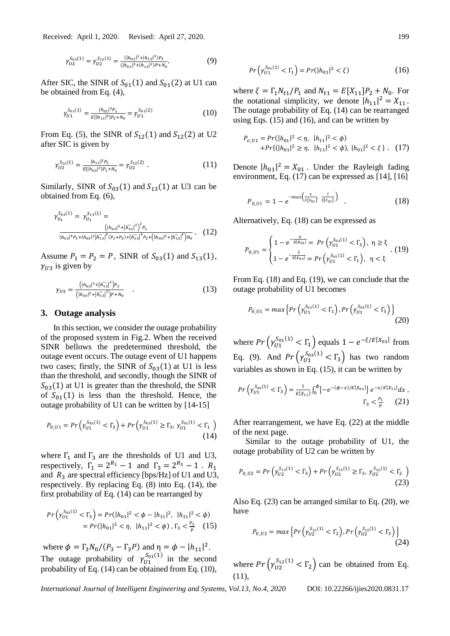Received: April 1, 2020. Revised: April 27, 2020. 199

$$
\gamma_{U2}^{S_{03}(1)} = \gamma_{U2}^{S_{13}(1)} = \frac{(|h_{02}|^2 + |h_{12}|^2)P_3}{(|h_{02}|^2 + |h_{12}|^2)P_1 + N_0}.\tag{9}
$$

After SIC, the SINR of  $S_{01}(1)$  and  $S_{01}(2)$  at U1 can be obtained from Eq. (4),

$$
\gamma_{U1}^{S_{01}(1)} = \frac{|h_{01}|^2 P_1}{E[|h_{11}|^2] P_2 + N_0} = \gamma_{U1}^{S_{01}(2)} \tag{10}
$$

From Eq. (5), the SINR of  $S_{12}(1)$  and  $S_{12}(2)$  at U2 after SIC is given by

$$
\gamma_{U2}^{S_{12}(1)} = \frac{|h_{12}|^2 P_2}{E[|h_{02}|^2] P_1 + N_0} = \gamma_{U2}^{S_{12}(2)} . \tag{11}
$$

Similarly, SINR of  $S_{03}(1)$  and  $S_{13}(1)$  at U3 can be obtained from Eq. (6),

$$
\gamma_{U_3}^{\mathcal{S}_{03}(1)} = \gamma_{U_3}^{\mathcal{S}_{13}(1)} = \frac{\left( |h_{03}|^2 + |\widehat{h_{13}}|^2 \right)^2 P_3}{\left| |h_{03}|^4 P_1 + |h_{03}|^2 |\widehat{h_{13}}|^2 (P_1 + P_2) + |\widehat{h_{13}}|^4 P_2 + \left( |h_{03}|^2 + |\widehat{h_{13}}|^2 \right) N_0} \,. \tag{12}
$$

Assume  $P_1 = P_2 = P$ , SINR of  $S_{03}(1)$  and  $S_{13}(1)$ ,  $\gamma_{1/3}$  is given by

$$
\gamma_{U3} = \frac{(|h_{03}|^2 + |\widehat{h_{13}}|^2)P_3}{(|h_{03}|^2 + |\widehat{h_{13}}|^2)P_1 + N_0} \quad . \tag{13}
$$

## **3. Outage analysis**

In this section, we consider the outage probability of the proposed system in Fig.2. When the received SINR bellows the predetermined threshold, the outage event occurs. The outage event of U1 happens two cases; firstly, the SINR of  $S_{03}(1)$  at U1 is less than the threshold, and secondly, though the SINR of  $S_{03}(1)$  at U1 is greater than the threshold, the SINR of  $S_{01}(1)$  is less than the threshold. Hence, the outage probability of U1 can be written by [14-15]

$$
P_{0_U1} = Pr\left(\gamma_{U1}^{S_{03}(1)} < \Gamma_3\right) + Pr\left(\gamma_{U1}^{S_{03}(1)} \ge \Gamma_3, \gamma_{U1}^{S_{01}(1)} < \Gamma_1\right) \tag{14}
$$

where  $\Gamma_1$  and  $\Gamma_3$  are the thresholds of U1 and U3, respectively,  $\Gamma_1 = 2^{R_1} - 1$  and  $\Gamma_3 = 2^{R_3} - 1$ .  $R_1$ and  $R_3$  are spectral efficiency [bps/Hz] of U1 and U3, respectively. By replacing Eq. (8) into Eq. (14), the first probability of Eq. (14) can be rearranged by

$$
Pr\left(\gamma_{U1}^{S_{03}(1)} < \Gamma_3\right) = Pr(|h_{01}|^2 < \phi - |h_{11}|^2, \ |h_{11}|^2 < \phi) \\
= Pr(|h_{01}|^2 < \eta, \ |h_{11}|^2 < \phi), \ \Gamma_3 < \frac{P_3}{p} \tag{15}
$$

where  $\phi = \Gamma_3 N_0 / (P_3 - \Gamma_3 P)$  and  $\eta = \phi - |h_{11}|^2$ . The outage probability of  $\gamma_{U_1}^{S_{01}(1)}$  in the second probability of Eq. (14) can be obtained from Eq. (10),

$$
Pr\left(\gamma_{01}^{S_{01}(1)} < \Gamma_1\right) = Pr(|h_{01}|^2 < \xi) \tag{16}
$$

where  $\xi = \Gamma_1 N_{t1}/P_1$  and  $N_{t1} = E[X_{11}]P_2 + N_0$ . For the notational simplicity, we denote  $|h_{11}|^2 = X_{11}$ . The outage probability of Eq. (14) can be rearranged using Eqs. (15) and (16), and can be written by

$$
P_{o_1} = Pr(|h_{01}|^2 < \eta, \ |h_{11}|^2 < \phi) + Pr\{(|h_{01}|^2 \ge \eta, \ |h_{11}|^2 < \phi), \ |h_{01}|^2 < \xi\} \,. \tag{17}
$$

Denote  $|h_{01}|^2 = X_{01}$ . Under the Rayleigh fading environment, Eq. (17) can be expressed as [14], [16]

$$
P_{0\_U1} = 1 - e^{-\max\left(\frac{\eta}{E[X_{01}]}, \frac{\xi}{E[X_{01}]}\right)} \tag{18}
$$

Alternatively, Eq. (18) can be expressed as

$$
P_{0_U 1} = \begin{cases} 1 - e^{-\frac{\eta}{E[X_{01}]} } = Pr\left(\gamma_{U1}^{S_{03}(1)} < \Gamma_3\right), & \eta \ge \xi \\ 1 - e^{-\frac{\xi}{E[X_{01}]} } = Pr\left(\gamma_{U1}^{S_{01}(1)} < \Gamma_1\right), & \eta < \xi \end{cases} . (19)
$$

From Eq. (18) and Eq. (19), we can conclude that the outage probability of U1 becomes

$$
P_{0_U1} = \max\left\{ \Pr\left(\gamma_{U1}^{S_{01}(1)} < \Gamma_1\right), \Pr\left(\gamma_{U1}^{S_{03}(1)} < \Gamma_3\right) \right\} \tag{20}
$$

where  $Pr\left(\gamma_{U1}^{S_{01}(1)} < \Gamma_1\right)$  equals  $1 - e^{-\xi/E[X_{01}]}$  from Eq. (9). And  $Pr\left(\gamma_{U1}^{S_{03}(1)} < \Gamma_3\right)$  has two random variables as shown in Eq. (15), it can be written by

$$
Pr\left(\gamma_{U1}^{S_{03}(1)} < \Gamma_3\right) = \frac{1}{E[X_{11}]}\int_0^{\phi} \left\{-e^{-(\phi-x)/E[X_{01}]}\right\}e^{-x/E[X_{11}]}dx,
$$
  

$$
\Gamma_3 < \frac{P_3}{P} \qquad (21)
$$

After rearrangement, we have Eq. (22) at the middle of the next page.

Similar to the outage probability of U1, the outage probability of U2 can be written by

$$
P_{0\_U2} = Pr\left(\gamma_{U2}^{S_{13}(1)} < \Gamma_3\right) + Pr\left(\gamma_{U2}^{S_{13}(1)} \ge \Gamma_3, \gamma_{U2}^{S_{12}(1)} < \Gamma_2\right) \tag{23}
$$

Also Eq. (23) can be arranged similar to Eq. (20), we have

$$
P_{0\_U2} = max \left\{ Pr\left(\gamma_{U2}^{S_{12}(1)} < \Gamma_2\right), Pr\left(\gamma_{U2}^{S_{13}(1)} < \Gamma_3\right) \right\} \tag{24}
$$

where  $Pr\left(\gamma_{U2}^{S_{12}(1)} < \Gamma_2\right)$  can be obtained from Eq.  $(11)$ ,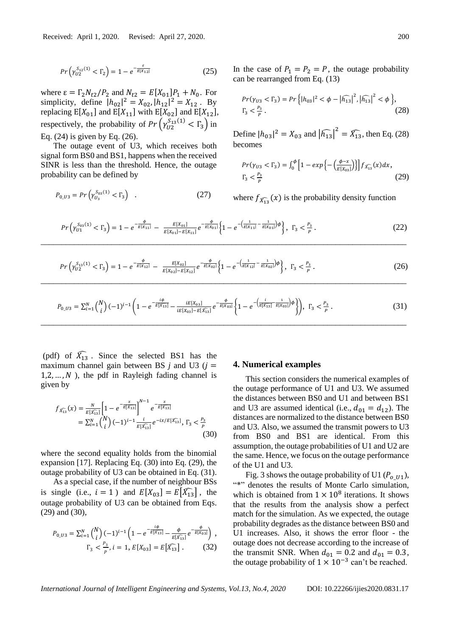$$
Pr\left(\gamma_{U2}^{S_{12}(1)} < \Gamma_2\right) = 1 - e^{-\frac{\varepsilon}{E[X_{12}]}}\tag{25}
$$

where  $\varepsilon = \Gamma_2 N_{t2}/P_2$  and  $N_{t2} = E[X_{01}]P_1 + N_0$ . For simplicity, define  $|h_{02}|^2 = X_{02}$ ,  $|h_{12}|^2 = X_{12}$ . By replacing  $E[X_{01}]$  and  $E[X_{11}]$  with  $E[X_{02}]$  and  $E[X_{12}]$ , respectively, the probability of  $Pr\left(\gamma_{U2}^{S_{13}(1)} < \Gamma_3\right)$  in Eq. (24) is given by Eq. (26).

The outage event of U3, which receives both signal form BS0 and BS1, happens when the received SINR is less than the threshold. Hence, the outage probability can be defined by

$$
P_{0\_U3} = Pr\left(\gamma_{U_3}^{S_{03}(1)} < \Gamma_3\right) \tag{27}
$$

In the case of  $P_1 = P_2 = P$ , the outage probability can be rearranged from Eq. (13)

$$
Pr(\gamma_{U3} < \Gamma_3) = Pr\left\{ |h_{03}|^2 < \phi - \left| \widehat{h_{13}} \right|^2, \left| \widehat{h_{13}} \right|^2 < \phi \right\},\n\Gamma_3 < \frac{P_3}{P}.\n\tag{28}
$$

Define  $|h_{03}|^2 = X_{03}$  and  $|\widehat{h_{13}}|^2 = \widehat{X_{13}}$ , then Eq. (28) becomes

$$
Pr(\gamma_{U3} < \Gamma_3) = \int_0^{\phi} \left[ 1 - exp\left\{ -\left(\frac{\phi - x}{E[X_{03}]}\right) \right\} \right] f_{\widehat{X_{13}}}(x) dx, \\ \Gamma_3 < \frac{P_3}{P} \tag{29}
$$

where  $f_{\widehat{X}_{13}}(x)$  is the probability density function

$$
Pr\left(\gamma_{U1}^{S_{03}(1)} < \Gamma_3\right) = 1 - e^{-\frac{\phi}{E[X_{11}]}} - \frac{E[X_{01}]}{E[X_{01}] - E[X_{11}]} e^{-\frac{\phi}{E[X_{01}]}} \left\{1 - e^{-\left(\frac{1}{E[X_{11}]} - \frac{1}{E[X_{01}]}\right)\phi}\right\}, \ \Gamma_3 < \frac{P_3}{P}. \tag{22}
$$

$$
Pr\left(\gamma_{U2}^{S_{13}(1)} < \Gamma_3\right) = 1 - e^{-\frac{\phi}{E[X_{12}]}} - \frac{E[X_{02}]}{E[X_{02}] - E[X_{12}]} e^{-\frac{\phi}{E[X_{02}]}} \left\{1 - e^{-\left(\frac{1}{E[X_{12}]} - \frac{1}{E[X_{02}]}\right)\phi}\right\}, \ \Gamma_3 < \frac{P_3}{P}. \tag{26}
$$

$$
P_{0\_U3} = \sum_{i=1}^{N} {N \choose i} (-1)^{i-1} \left( 1 - e^{-\frac{i\phi}{E[X_{13}]} - \frac{iE[X_{03}]}{iE[X_{03}] - E[X_{13}]} e^{-\frac{\phi}{E[X_{03}]} \left\{ 1 - e^{-\left(\frac{i}{E[X_{13}]} - \frac{1}{E[X_{03}]} \right) \phi} \right\}} \right), \ \Gamma_3 < \frac{P_3}{P}. \tag{31}
$$

(pdf) of  $\widehat{X}_{13}$ . Since the selected BS1 has the maximum channel gain between BS  $j$  and U3 ( $j =$  $1, 2, ..., N$ ), the pdf in Rayleigh fading channel is given by

$$
f_{\widehat{X_{13}}}(x) = \frac{N}{E[\widehat{X_{13}}]} \left[ 1 - e^{-\frac{x}{E[\widehat{X_{13}}]}} \right]^{N-1} e^{-\frac{x}{E[\widehat{X_{13}}]}} = \sum_{i=1}^{N} {N \choose i} (-1)^{i-1} \frac{i}{E[\widehat{X_{13}}]} e^{-ix/E[\widehat{X_{13}}]}, \Gamma_3 < \frac{P_3}{P}
$$
\n(30)

where the second equality holds from the binomial expansion [17]. Replacing Eq. (30) into Eq. (29), the outage probability of U3 can be obtained in Eq. (31).

As a special case, if the number of neighbour BSs is single (i.e.,  $i = 1$ ) and  $E[X_{03}] = E[X_{13}]$ , the outage probability of U3 can be obtained from Eqs. (29) and (30),

$$
P_{0\_U3} = \sum_{i=1}^{N} {N \choose i} (-1)^{i-1} \left( 1 - e^{-\frac{i\phi}{E[\bar{X}_{13}]} - \frac{\phi}{E[\bar{X}_{13}]} e^{-\frac{\phi}{E[X_{03}]}} \right),
$$
  

$$
\Gamma_3 < \frac{P_3}{P}, i = 1, E[X_{03}] = E[\bar{X}_{13}].
$$
 (32)

#### **4. Numerical examples**

This section considers the numerical examples of the outage performance of U1 and U3. We assumed the distances between BS0 and U1 and between BS1 and U3 are assumed identical (i.e.,  $d_{01} = d_{12}$ ). The distances are normalized to the distance between BS0 and U3. Also, we assumed the transmit powers to U3 from BS0 and BS1 are identical. From this assumption, the outage probabilities of U1 and U2 are the same. Hence, we focus on the outage performance of the U1 and U3.

Fig. 3 shows the outage probability of U1 ( $P_{0,11}$ ), "\*" denotes the results of Monte Carlo simulation, which is obtained from  $1 \times 10^8$  iterations. It shows that the results from the analysis show a perfect match for the simulation. As we expected, the outage probability degrades as the distance between BS0 and U1 increases. Also, it shows the error floor - the outage does not decrease according to the increase of the transmit SNR. When  $d_{01} = 0.2$  and  $d_{01} = 0.3$ , the outage probability of  $1 \times 10^{-3}$  can't be reached.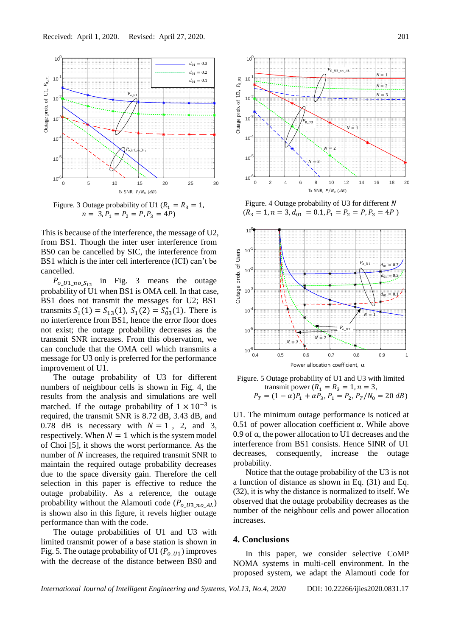

Figure. 3 Outage probability of U1 ( $R_1 = R_3 = 1$ ,  $n = 3, P_1 = P_2 = P, P_3 = 4P$ 

This is because of the interference, the message of U2, from BS1. Though the inter user interference from BS0 can be cancelled by SIC, the interference from BS1 which is the inter cell interference (ICI) can't be cancelled.

 $P_{0_1_1_2_2_3_1_2}$  in Fig. 3 means the outage probability of U1 when BS1 is OMA cell. In that case, BS1 does not transmit the messages for U2; BS1 transmits  $S_1(1) = S_{13}(1)$ ,  $S_1(2) = S_{03}^*(1)$ . There is no interference from BS1, hence the error floor does not exist; the outage probability decreases as the transmit SNR increases. From this observation, we can conclude that the OMA cell which transmits a message for U3 only is preferred for the performance improvement of U1.

The outage probability of U3 for different numbers of neighbour cells is shown in Fig. 4, the results from the analysis and simulations are well matched. If the outage probability of  $1 \times 10^{-3}$  is required, the transmit SNR is 8.72 dB, 3.43 dB, and 0.78 dB is necessary with  $N = 1$ , 2, and 3, respectively. When  $N = 1$  which is the system model of Choi [5], it shows the worst performance. As the number of  $N$  increases, the required transmit SNR to maintain the required outage probability decreases due to the space diversity gain. Therefore the cell selection in this paper is effective to reduce the outage probability. As a reference, the outage probability without the Alamouti code  $(P_{q\text{I}l3\text{no}AL})$ is shown also in this figure, it revels higher outage performance than with the code.

The outage probabilities of U1 and U3 with limited transmit power of a base station is shown in Fig. 5. The outage probability of U1 ( $P_{q,II1}$ ) improves with the decrease of the distance between BS0 and



Figure. 4 Outage probability of U3 for different N  $(R_3 = 1, n = 3, d_{01} = 0.1, P_1 = P_2 = P, P_3 = 4P)$ 



Figure. 5 Outage probability of U1 and U3 with limited transmit power ( $R_1 = R_3 = 1, n = 3$ ,  $P_T = (1 - \alpha)P_1 + \alpha P_3$ ,  $P_1 = P_2$ ,  $P_T/N_0 = 20$  dB)

U1. The minimum outage performance is noticed at 0.51 of power allocation coefficient α. While above 0.9 of  $\alpha$ , the power allocation to U1 decreases and the interference from BS1 consists. Hence SINR of U1 decreases, consequently, increase the outage probability.

Notice that the outage probability of the U3 is not a function of distance as shown in Eq. (31) and Eq. (32), it is why the distance is normalized to itself. We observed that the outage probability decreases as the number of the neighbour cells and power allocation increases.

## **4. Conclusions**

In this paper, we consider selective CoMP NOMA systems in multi-cell environment. In the proposed system, we adapt the Alamouti code for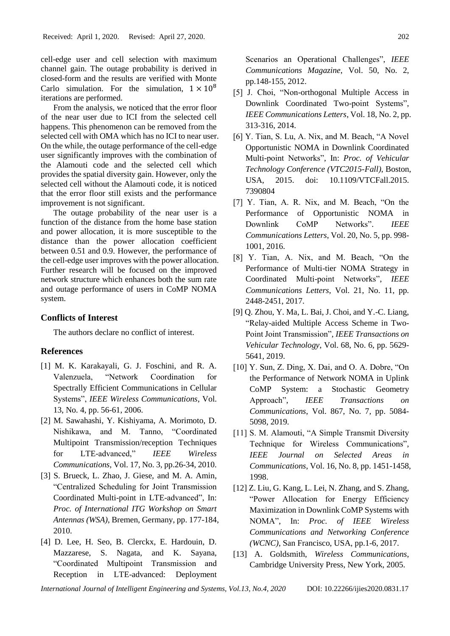cell-edge user and cell selection with maximum channel gain. The outage probability is derived in closed-form and the results are verified with Monte Carlo simulation. For the simulation,  $1 \times 10^8$ iterations are performed.

From the analysis, we noticed that the error floor of the near user due to ICI from the selected cell happens. This phenomenon can be removed from the selected cell with OMA which has no ICI to near user. On the while, the outage performance of the cell-edge user significantly improves with the combination of the Alamouti code and the selected cell which provides the spatial diversity gain. However, only the selected cell without the Alamouti code, it is noticed that the error floor still exists and the performance improvement is not significant.

The outage probability of the near user is a function of the distance from the home base station and power allocation, it is more susceptible to the distance than the power allocation coefficient between 0.51 and 0.9. However, the performance of the cell-edge user improves with the power allocation. Further research will be focused on the improved network structure which enhances both the sum rate and outage performance of users in CoMP NOMA system.

## **Conflicts of Interest**

The authors declare no conflict of interest.

# **References**

- [1] M. K. Karakayali, G. J. Foschini, and R. A. Valenzuela, "Network Coordination for Spectrally Efficient Communications in Cellular Systems", *IEEE Wireless Communications*, Vol. 13, No. 4, pp. 56-61, 2006.
- [2] M. Sawahashi, Y. Kishiyama, A. Morimoto, D. Nishikawa, and M. Tanno, "Coordinated Multipoint Transmission/reception Techniques for LTE-advanced," *IEEE Wireless Communications*, Vol. 17, No. 3, pp.26-34, 2010.
- [3] S. Brueck, L. Zhao, J. Giese, and M. A. Amin, "Centralized Scheduling for Joint Transmission Coordinated Multi-point in LTE-advanced", In: *Proc. of International ITG Workshop on Smart Antennas (WSA)*, Bremen, Germany, pp. 177-184, 2010.
- [4] D. Lee, H. Seo, B. Clerckx, E. Hardouin, D. Mazzarese, S. Nagata, and K. Sayana, "Coordinated Multipoint Transmission and Reception in LTE-advanced: Deployment

Scenarios an Operational Challenges", *IEEE Communications Magazine*, Vol. 50, No. 2, pp.148-155, 2012.

- [5] J. Choi, "Non-orthogonal Multiple Access in Downlink Coordinated Two-point Systems", *IEEE Communications Letters*, Vol. 18, No. 2, pp. 313-316, 2014.
- [6] Y. Tian, S. Lu, A. Nix, and M. Beach, "A Novel Opportunistic NOMA in Downlink Coordinated Multi-point Networks", In: *Proc. of Vehicular Technology Conference (VTC2015-Fall)*, Boston, USA, 2015. doi: 10.1109/VTCFall.2015. 7390804
- [7] Y. Tian, A. R. Nix, and M. Beach, "On the Performance of Opportunistic NOMA in Downlink CoMP Networks". *IEEE Communications Letters*, Vol. 20, No. 5, pp. 998- 1001, 2016.
- [8] Y. Tian, A. Nix, and M. Beach, "On the Performance of Multi-tier NOMA Strategy in Coordinated Multi-point Networks", *IEEE Communications Letters*, Vol. 21, No. 11, pp. 2448-2451, 2017.
- [9] Q. Zhou, Y. Ma, L. Bai, J. Choi, and Y.-C. Liang, "Relay-aided Multiple Access Scheme in Two-Point Joint Transmission", *IEEE Transactions on Vehicular Technology*, Vol. 68, No. 6, pp. 5629- 5641, 2019.
- [10] Y. Sun, Z. Ding, X. Dai, and O. A. Dobre, "On the Performance of Network NOMA in Uplink CoMP System: a Stochastic Geometry Approach", *IEEE Transactions on Communications*, Vol. 867, No. 7, pp. 5084- 5098, 2019.
- [11] S. M. Alamouti, "A Simple Transmit Diversity Technique for Wireless Communications", *IEEE Journal on Selected Areas in Communications*, Vol. 16, No. 8, pp. 1451-1458, 1998.
- [12] Z. Liu, G. Kang, L. Lei, N. Zhang, and S. Zhang, "Power Allocation for Energy Efficiency Maximization in Downlink CoMP Systems with NOMA", In: *Proc. of IEEE Wireless Communications and Networking Conference (WCNC)*, San Francisco, USA, pp.1-6, 2017.
- [13] A. Goldsmith, *Wireless Communications*, Cambridge University Press, New York, 2005.